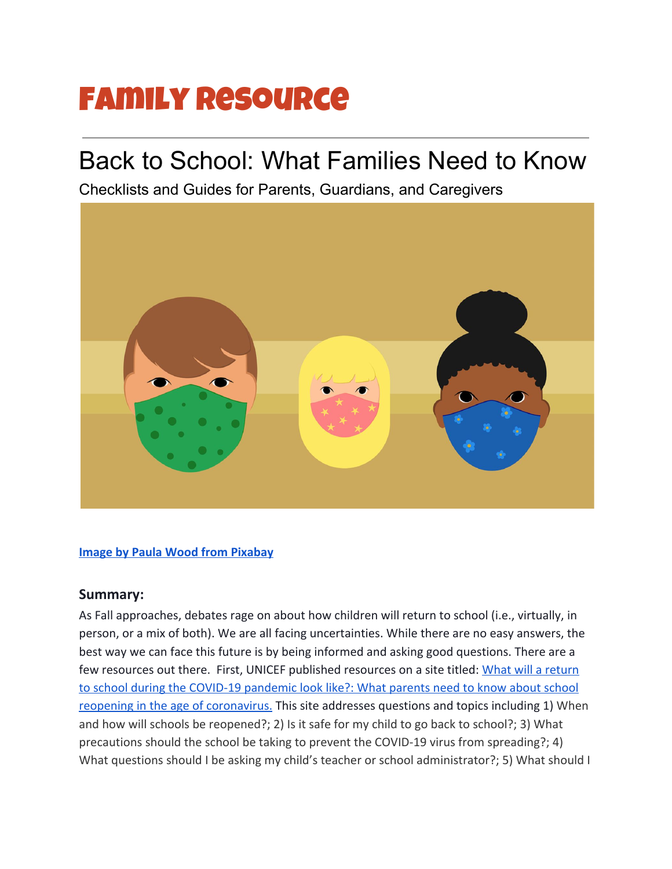# Family Resource

# Back to School: What Families Need to Know

Checklists and Guides for Parents, Guardians, and Caregivers



#### **[Image by Paula Wood from Pixabay](https://pixabay.com/illustrations/facemask-covid-coronavirus-virus-5071777/)**

#### **Summary:**

As Fall approaches, debates rage on about how children will return to school (i.e., virtually, in person, or a mix of both). We are all facing uncertainties. While there are no easy answers, the best way we can face this future is by being informed and asking good questions. There are a few resources out there. First, UNICEF published resources on a site titled: [What will a return](https://www.unicef.org/coronavirus/what-will-return-school-during-covid-19-pandemic-look?utm_source=facebook&utm_medium=organic&utm_campaign=coronavirus&fbclid=IwAR3jPEcF9lT9uuaROOTipOaW7y9Sp5MbZa4OdcStv3m6VE7LlmfDwMFEkTI) [to school during the COVID-19 pandemic look like?: What parents need to know about school](https://www.unicef.org/coronavirus/what-will-return-school-during-covid-19-pandemic-look?utm_source=facebook&utm_medium=organic&utm_campaign=coronavirus&fbclid=IwAR3jPEcF9lT9uuaROOTipOaW7y9Sp5MbZa4OdcStv3m6VE7LlmfDwMFEkTI) [reopening in the age of coronavirus.](https://www.unicef.org/coronavirus/what-will-return-school-during-covid-19-pandemic-look?utm_source=facebook&utm_medium=organic&utm_campaign=coronavirus&fbclid=IwAR3jPEcF9lT9uuaROOTipOaW7y9Sp5MbZa4OdcStv3m6VE7LlmfDwMFEkTI) This site addresses questions and topics including 1) When and how will schools be reopened?; 2) Is it safe for my child to go back to school?; 3) What precautions should the school be taking to prevent the COVID-19 virus from spreading?; 4) What questions should I be asking my child's teacher or school administrator?; 5) What should I